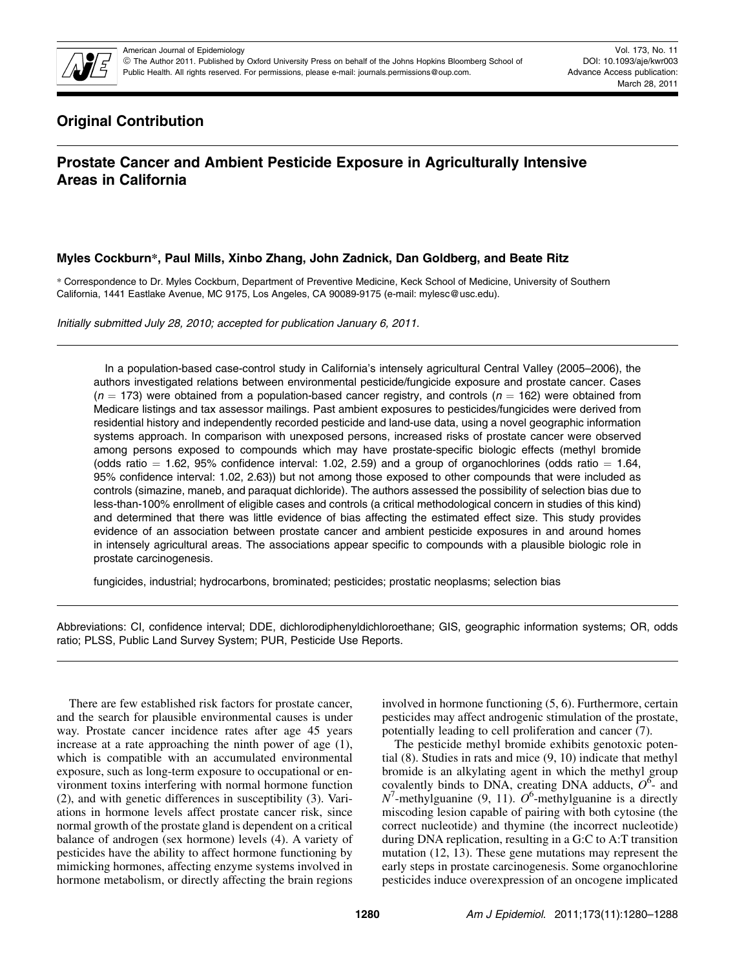

# Original Contribution

# Prostate Cancer and Ambient Pesticide Exposure in Agriculturally Intensive Areas in California

# Myles Cockburn*\**, Paul Mills, Xinbo Zhang, John Zadnick, Dan Goldberg, and Beate Ritz

\* Correspondence to Dr. Myles Cockburn, Department of Preventive Medicine, Keck School of Medicine, University of Southern California, 1441 Eastlake Avenue, MC 9175, Los Angeles, CA 90089-9175 (e-mail: mylesc@usc.edu).

Initially submitted July 28, 2010; accepted for publication January 6, 2011.

In a population-based case-control study in California's intensely agricultural Central Valley (2005–2006), the authors investigated relations between environmental pesticide/fungicide exposure and prostate cancer. Cases  $(n = 173)$  were obtained from a population-based cancer registry, and controls  $(n = 162)$  were obtained from Medicare listings and tax assessor mailings. Past ambient exposures to pesticides/fungicides were derived from residential history and independently recorded pesticide and land-use data, using a novel geographic information systems approach. In comparison with unexposed persons, increased risks of prostate cancer were observed among persons exposed to compounds which may have prostate-specific biologic effects (methyl bromide (odds ratio  $= 1.62$ , 95% confidence interval: 1.02, 2.59) and a group of organochlorines (odds ratio  $= 1.64$ , 95% confidence interval: 1.02, 2.63)) but not among those exposed to other compounds that were included as controls (simazine, maneb, and paraquat dichloride). The authors assessed the possibility of selection bias due to less-than-100% enrollment of eligible cases and controls (a critical methodological concern in studies of this kind) and determined that there was little evidence of bias affecting the estimated effect size. This study provides evidence of an association between prostate cancer and ambient pesticide exposures in and around homes in intensely agricultural areas. The associations appear specific to compounds with a plausible biologic role in prostate carcinogenesis.

fungicides, industrial; hydrocarbons, brominated; pesticides; prostatic neoplasms; selection bias

Abbreviations: CI, confidence interval; DDE, dichlorodiphenyldichloroethane; GIS, geographic information systems; OR, odds ratio; PLSS, Public Land Survey System; PUR, Pesticide Use Reports.

There are few established risk factors for prostate cancer, and the search for plausible environmental causes is under way. Prostate cancer incidence rates after age 45 years increase at a rate approaching the ninth power of age (1), which is compatible with an accumulated environmental exposure, such as long-term exposure to occupational or environment toxins interfering with normal hormone function (2), and with genetic differences in susceptibility (3). Variations in hormone levels affect prostate cancer risk, since normal growth of the prostate gland is dependent on a critical balance of androgen (sex hormone) levels (4). A variety of pesticides have the ability to affect hormone functioning by mimicking hormones, affecting enzyme systems involved in hormone metabolism, or directly affecting the brain regions involved in hormone functioning (5, 6). Furthermore, certain pesticides may affect androgenic stimulation of the prostate, potentially leading to cell proliferation and cancer (7).

The pesticide methyl bromide exhibits genotoxic potential (8). Studies in rats and mice (9, 10) indicate that methyl bromide is an alkylating agent in which the methyl group covalently binds to DNA, creating DNA adducts,  $O^6$ - and  $N^7$ -methylguanine (9, 11). O<sup>6</sup>-methylguanine is a directly miscoding lesion capable of pairing with both cytosine (the correct nucleotide) and thymine (the incorrect nucleotide) during DNA replication, resulting in a G:C to A:T transition mutation (12, 13). These gene mutations may represent the early steps in prostate carcinogenesis. Some organochlorine pesticides induce overexpression of an oncogene implicated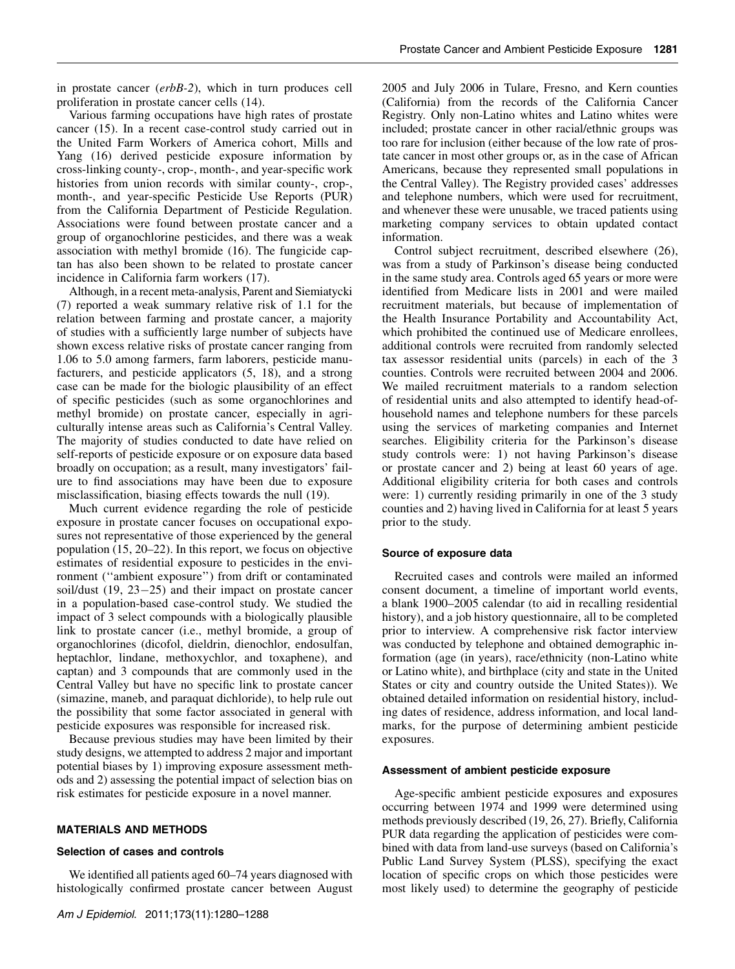in prostate cancer (erbB-2), which in turn produces cell proliferation in prostate cancer cells (14).

Various farming occupations have high rates of prostate cancer (15). In a recent case-control study carried out in the United Farm Workers of America cohort, Mills and Yang (16) derived pesticide exposure information by cross-linking county-, crop-, month-, and year-specific work histories from union records with similar county-, crop-, month-, and year-specific Pesticide Use Reports (PUR) from the California Department of Pesticide Regulation. Associations were found between prostate cancer and a group of organochlorine pesticides, and there was a weak association with methyl bromide (16). The fungicide captan has also been shown to be related to prostate cancer incidence in California farm workers (17).

Although, in a recent meta-analysis, Parent and Siemiatycki (7) reported a weak summary relative risk of 1.1 for the relation between farming and prostate cancer, a majority of studies with a sufficiently large number of subjects have shown excess relative risks of prostate cancer ranging from 1.06 to 5.0 among farmers, farm laborers, pesticide manufacturers, and pesticide applicators (5, 18), and a strong case can be made for the biologic plausibility of an effect of specific pesticides (such as some organochlorines and methyl bromide) on prostate cancer, especially in agriculturally intense areas such as California's Central Valley. The majority of studies conducted to date have relied on self-reports of pesticide exposure or on exposure data based broadly on occupation; as a result, many investigators' failure to find associations may have been due to exposure misclassification, biasing effects towards the null (19).

Much current evidence regarding the role of pesticide exposure in prostate cancer focuses on occupational exposures not representative of those experienced by the general population (15, 20–22). In this report, we focus on objective estimates of residential exposure to pesticides in the environment (''ambient exposure'') from drift or contaminated soil/dust  $(19, 23-25)$  and their impact on prostate cancer in a population-based case-control study. We studied the impact of 3 select compounds with a biologically plausible link to prostate cancer (i.e., methyl bromide, a group of organochlorines (dicofol, dieldrin, dienochlor, endosulfan, heptachlor, lindane, methoxychlor, and toxaphene), and captan) and 3 compounds that are commonly used in the Central Valley but have no specific link to prostate cancer (simazine, maneb, and paraquat dichloride), to help rule out the possibility that some factor associated in general with pesticide exposures was responsible for increased risk.

Because previous studies may have been limited by their study designs, we attempted to address 2 major and important potential biases by 1) improving exposure assessment methods and 2) assessing the potential impact of selection bias on risk estimates for pesticide exposure in a novel manner.

#### MATERIALS AND METHODS

#### Selection of cases and controls

We identified all patients aged 60–74 years diagnosed with histologically confirmed prostate cancer between August 2005 and July 2006 in Tulare, Fresno, and Kern counties (California) from the records of the California Cancer Registry. Only non-Latino whites and Latino whites were included; prostate cancer in other racial/ethnic groups was too rare for inclusion (either because of the low rate of prostate cancer in most other groups or, as in the case of African Americans, because they represented small populations in the Central Valley). The Registry provided cases' addresses and telephone numbers, which were used for recruitment, and whenever these were unusable, we traced patients using marketing company services to obtain updated contact information.

Control subject recruitment, described elsewhere (26), was from a study of Parkinson's disease being conducted in the same study area. Controls aged 65 years or more were identified from Medicare lists in 2001 and were mailed recruitment materials, but because of implementation of the Health Insurance Portability and Accountability Act, which prohibited the continued use of Medicare enrollees, additional controls were recruited from randomly selected tax assessor residential units (parcels) in each of the 3 counties. Controls were recruited between 2004 and 2006. We mailed recruitment materials to a random selection of residential units and also attempted to identify head-ofhousehold names and telephone numbers for these parcels using the services of marketing companies and Internet searches. Eligibility criteria for the Parkinson's disease study controls were: 1) not having Parkinson's disease or prostate cancer and 2) being at least 60 years of age. Additional eligibility criteria for both cases and controls were: 1) currently residing primarily in one of the 3 study counties and 2) having lived in California for at least 5 years prior to the study.

## Source of exposure data

Recruited cases and controls were mailed an informed consent document, a timeline of important world events, a blank 1900–2005 calendar (to aid in recalling residential history), and a job history questionnaire, all to be completed prior to interview. A comprehensive risk factor interview was conducted by telephone and obtained demographic information (age (in years), race/ethnicity (non-Latino white or Latino white), and birthplace (city and state in the United States or city and country outside the United States)). We obtained detailed information on residential history, including dates of residence, address information, and local landmarks, for the purpose of determining ambient pesticide exposures.

#### Assessment of ambient pesticide exposure

Age-specific ambient pesticide exposures and exposures occurring between 1974 and 1999 were determined using methods previously described (19, 26, 27). Briefly, California PUR data regarding the application of pesticides were combined with data from land-use surveys (based on California's Public Land Survey System (PLSS), specifying the exact location of specific crops on which those pesticides were most likely used) to determine the geography of pesticide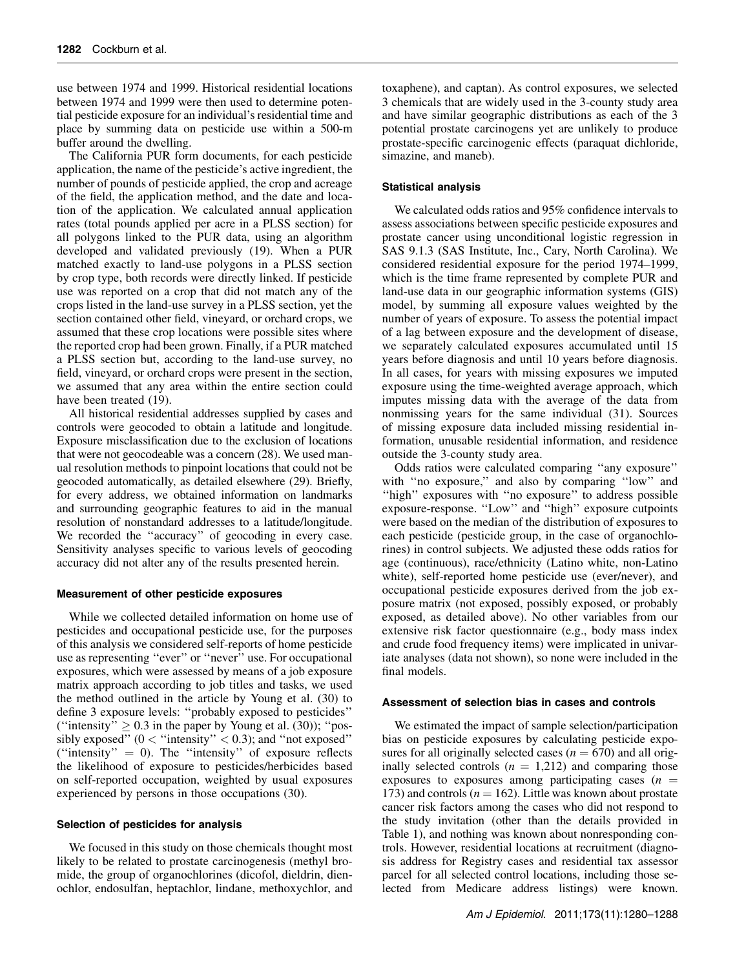use between 1974 and 1999. Historical residential locations between 1974 and 1999 were then used to determine potential pesticide exposure for an individual's residential time and place by summing data on pesticide use within a 500-m buffer around the dwelling.

The California PUR form documents, for each pesticide application, the name of the pesticide's active ingredient, the number of pounds of pesticide applied, the crop and acreage of the field, the application method, and the date and location of the application. We calculated annual application rates (total pounds applied per acre in a PLSS section) for all polygons linked to the PUR data, using an algorithm developed and validated previously (19). When a PUR matched exactly to land-use polygons in a PLSS section by crop type, both records were directly linked. If pesticide use was reported on a crop that did not match any of the crops listed in the land-use survey in a PLSS section, yet the section contained other field, vineyard, or orchard crops, we assumed that these crop locations were possible sites where the reported crop had been grown. Finally, if a PUR matched a PLSS section but, according to the land-use survey, no field, vineyard, or orchard crops were present in the section, we assumed that any area within the entire section could have been treated (19).

All historical residential addresses supplied by cases and controls were geocoded to obtain a latitude and longitude. Exposure misclassification due to the exclusion of locations that were not geocodeable was a concern (28). We used manual resolution methods to pinpoint locations that could not be geocoded automatically, as detailed elsewhere (29). Briefly, for every address, we obtained information on landmarks and surrounding geographic features to aid in the manual resolution of nonstandard addresses to a latitude/longitude. We recorded the ''accuracy'' of geocoding in every case. Sensitivity analyses specific to various levels of geocoding accuracy did not alter any of the results presented herein.

#### Measurement of other pesticide exposures

While we collected detailed information on home use of pesticides and occupational pesticide use, for the purposes of this analysis we considered self-reports of home pesticide use as representing ''ever'' or ''never'' use. For occupational exposures, which were assessed by means of a job exposure matrix approach according to job titles and tasks, we used the method outlined in the article by Young et al. (30) to define 3 exposure levels: ''probably exposed to pesticides'' ("intensity"  $\geq 0.3$  in the paper by Young et al. (30)); "possibly exposed"  $(0 <$  "intensity"  $< 0.3$ ); and "not exposed" ("intensity"  $= 0$ ). The "intensity" of exposure reflects the likelihood of exposure to pesticides/herbicides based on self-reported occupation, weighted by usual exposures experienced by persons in those occupations (30).

#### Selection of pesticides for analysis

We focused in this study on those chemicals thought most likely to be related to prostate carcinogenesis (methyl bromide, the group of organochlorines (dicofol, dieldrin, dienochlor, endosulfan, heptachlor, lindane, methoxychlor, and toxaphene), and captan). As control exposures, we selected 3 chemicals that are widely used in the 3-county study area and have similar geographic distributions as each of the 3 potential prostate carcinogens yet are unlikely to produce prostate-specific carcinogenic effects (paraquat dichloride, simazine, and maneb).

### Statistical analysis

We calculated odds ratios and 95% confidence intervals to assess associations between specific pesticide exposures and prostate cancer using unconditional logistic regression in SAS 9.1.3 (SAS Institute, Inc., Cary, North Carolina). We considered residential exposure for the period 1974–1999, which is the time frame represented by complete PUR and land-use data in our geographic information systems (GIS) model, by summing all exposure values weighted by the number of years of exposure. To assess the potential impact of a lag between exposure and the development of disease, we separately calculated exposures accumulated until 15 years before diagnosis and until 10 years before diagnosis. In all cases, for years with missing exposures we imputed exposure using the time-weighted average approach, which imputes missing data with the average of the data from nonmissing years for the same individual (31). Sources of missing exposure data included missing residential information, unusable residential information, and residence outside the 3-county study area.

Odds ratios were calculated comparing ''any exposure'' with ''no exposure,'' and also by comparing ''low'' and "high" exposures with "no exposure" to address possible exposure-response. ''Low'' and ''high'' exposure cutpoints were based on the median of the distribution of exposures to each pesticide (pesticide group, in the case of organochlorines) in control subjects. We adjusted these odds ratios for age (continuous), race/ethnicity (Latino white, non-Latino white), self-reported home pesticide use (ever/never), and occupational pesticide exposures derived from the job exposure matrix (not exposed, possibly exposed, or probably exposed, as detailed above). No other variables from our extensive risk factor questionnaire (e.g., body mass index and crude food frequency items) were implicated in univariate analyses (data not shown), so none were included in the final models.

#### Assessment of selection bias in cases and controls

We estimated the impact of sample selection/participation bias on pesticide exposures by calculating pesticide exposures for all originally selected cases ( $n = 670$ ) and all originally selected controls  $(n = 1,212)$  and comparing those exposures to exposures among participating cases  $(n =$ 173) and controls ( $n = 162$ ). Little was known about prostate cancer risk factors among the cases who did not respond to the study invitation (other than the details provided in Table 1), and nothing was known about nonresponding controls. However, residential locations at recruitment (diagnosis address for Registry cases and residential tax assessor parcel for all selected control locations, including those selected from Medicare address listings) were known.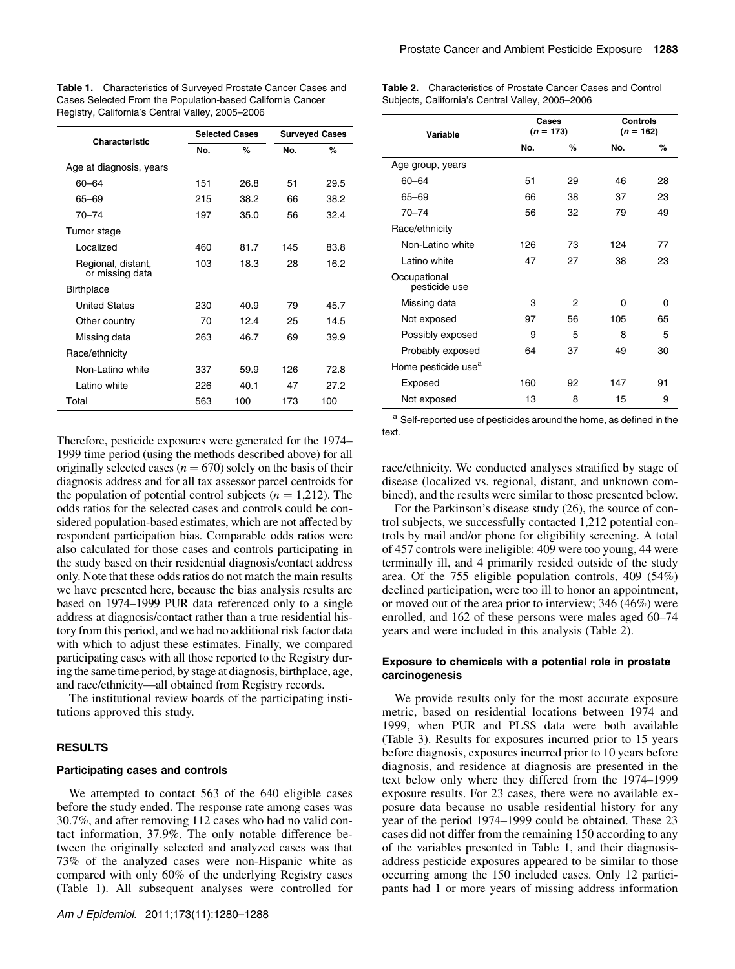| Characteristic                        |     | <b>Selected Cases</b> | <b>Surveyed Cases</b> |      |
|---------------------------------------|-----|-----------------------|-----------------------|------|
|                                       | No. | %                     | No.                   | %    |
| Age at diagnosis, years               |     |                       |                       |      |
| 60-64                                 | 151 | 26.8                  | 51                    | 29.5 |
| 65-69                                 | 215 | 38.2                  | 66                    | 38.2 |
| $70 - 74$                             | 197 | 35.0                  | 56                    | 32.4 |
| Tumor stage                           |     |                       |                       |      |
| Localized                             | 460 | 81.7                  | 145                   | 83.8 |
| Regional, distant,<br>or missing data | 103 | 18.3                  | 28                    | 16.2 |
| <b>Birthplace</b>                     |     |                       |                       |      |
| <b>United States</b>                  | 230 | 40.9                  | 79                    | 45.7 |
| Other country                         | 70  | 12.4                  | 25                    | 14.5 |
| Missing data                          | 263 | 46.7                  | 69                    | 39.9 |
| Race/ethnicity                        |     |                       |                       |      |
| Non-Latino white                      | 337 | 59.9                  | 126                   | 72.8 |
| I atino white                         | 226 | 40.1                  | 47                    | 27.2 |
| Total                                 | 563 | 100                   | 173                   | 100  |
|                                       |     |                       |                       |      |

| <b>Table 1.</b> Characteristics of Surveyed Prostate Cancer Cases and |
|-----------------------------------------------------------------------|
| Cases Selected From the Population-based California Cancer            |
| Registry, California's Central Valley, 2005-2006                      |

Therefore, pesticide exposures were generated for the 1974– 1999 time period (using the methods described above) for all originally selected cases ( $n = 670$ ) solely on the basis of their diagnosis address and for all tax assessor parcel centroids for the population of potential control subjects ( $n = 1,212$ ). The odds ratios for the selected cases and controls could be considered population-based estimates, which are not affected by respondent participation bias. Comparable odds ratios were also calculated for those cases and controls participating in the study based on their residential diagnosis/contact address only. Note that these odds ratios do not match the main results we have presented here, because the bias analysis results are based on 1974–1999 PUR data referenced only to a single address at diagnosis/contact rather than a true residential history from this period, and we had no additional risk factor data with which to adjust these estimates. Finally, we compared participating cases with all those reported to the Registry during the same time period, by stage at diagnosis, birthplace, age, and race/ethnicity—all obtained from Registry records.

The institutional review boards of the participating institutions approved this study.

#### RESULTS

#### Participating cases and controls

We attempted to contact 563 of the 640 eligible cases before the study ended. The response rate among cases was 30.7%, and after removing 112 cases who had no valid contact information, 37.9%. The only notable difference between the originally selected and analyzed cases was that 73% of the analyzed cases were non-Hispanic white as compared with only 60% of the underlying Registry cases (Table 1). All subsequent analyses were controlled for

| <b>Table 2.</b> Characteristics of Prostate Cancer Cases and Control |  |  |
|----------------------------------------------------------------------|--|--|
| Subjects, California's Central Valley, 2005–2006                     |  |  |

| Variable                        | Cases<br>$(n = 173)$ |    | Controls<br>$(n = 162)$ |    |
|---------------------------------|----------------------|----|-------------------------|----|
|                                 | No.                  | %  | No.                     | %  |
| Age group, years                |                      |    |                         |    |
| $60 - 64$                       | 51                   | 29 | 46                      | 28 |
| 65-69                           | 66                   | 38 | 37                      | 23 |
| $70 - 74$                       | 56                   | 32 | 79                      | 49 |
| Race/ethnicity                  |                      |    |                         |    |
| Non-Latino white                | 126                  | 73 | 124                     | 77 |
| Latino white                    | 47                   | 27 | 38                      | 23 |
| Occupational<br>pesticide use   |                      |    |                         |    |
| Missing data                    | 3                    | 2  | 0                       | 0  |
| Not exposed                     | 97                   | 56 | 105                     | 65 |
| Possibly exposed                | 9                    | 5  | 8                       | 5  |
| Probably exposed                | 64                   | 37 | 49                      | 30 |
| Home pesticide use <sup>a</sup> |                      |    |                         |    |
| Exposed                         | 160                  | 92 | 147                     | 91 |
| Not exposed                     | 13                   | 8  | 15                      | 9  |

<sup>a</sup> Self-reported use of pesticides around the home, as defined in the text.

race/ethnicity. We conducted analyses stratified by stage of disease (localized vs. regional, distant, and unknown combined), and the results were similar to those presented below.

For the Parkinson's disease study (26), the source of control subjects, we successfully contacted 1,212 potential controls by mail and/or phone for eligibility screening. A total of 457 controls were ineligible: 409 were too young, 44 were terminally ill, and 4 primarily resided outside of the study area. Of the 755 eligible population controls, 409 (54%) declined participation, were too ill to honor an appointment, or moved out of the area prior to interview; 346 (46%) were enrolled, and 162 of these persons were males aged 60–74 years and were included in this analysis (Table 2).

## Exposure to chemicals with a potential role in prostate carcinogenesis

We provide results only for the most accurate exposure metric, based on residential locations between 1974 and 1999, when PUR and PLSS data were both available (Table 3). Results for exposures incurred prior to 15 years before diagnosis, exposures incurred prior to 10 years before diagnosis, and residence at diagnosis are presented in the text below only where they differed from the 1974–1999 exposure results. For 23 cases, there were no available exposure data because no usable residential history for any year of the period 1974–1999 could be obtained. These 23 cases did not differ from the remaining 150 according to any of the variables presented in Table 1, and their diagnosisaddress pesticide exposures appeared to be similar to those occurring among the 150 included cases. Only 12 participants had 1 or more years of missing address information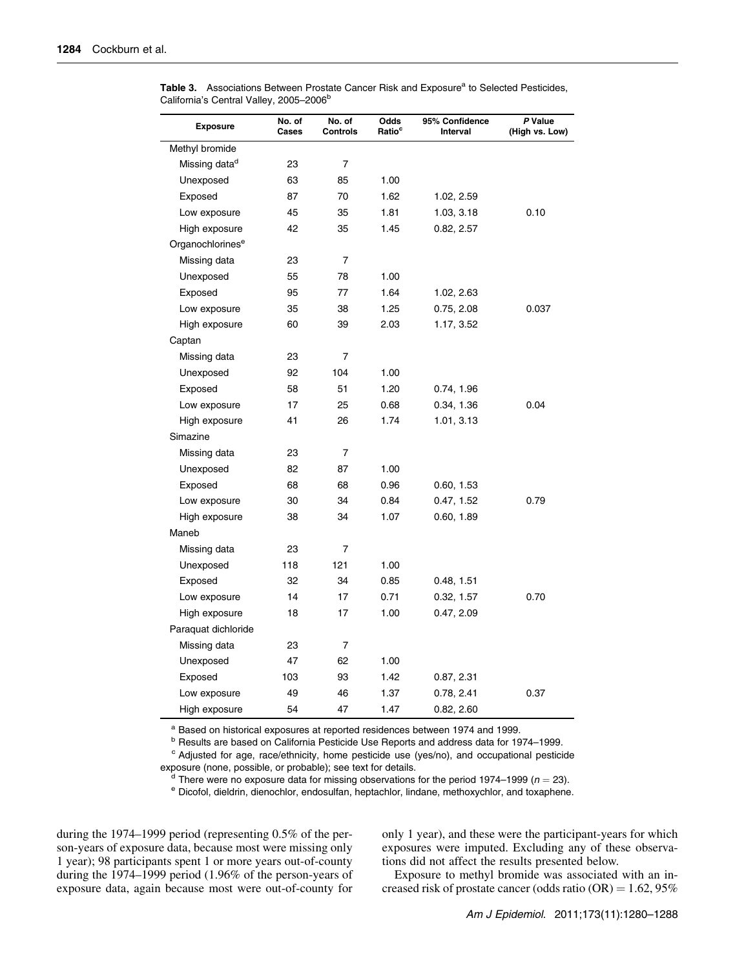| <b>Exposure</b>              | No. of<br>Cases | No. of<br><b>Controls</b> | Odds<br>Ratio <sup>c</sup> | 95% Confidence<br>Interval | P Value<br>(High vs. Low) |
|------------------------------|-----------------|---------------------------|----------------------------|----------------------------|---------------------------|
| Methyl bromide               |                 |                           |                            |                            |                           |
| Missing data <sup>d</sup>    | 23              | 7                         |                            |                            |                           |
| Unexposed                    | 63              | 85                        | 1.00                       |                            |                           |
| Exposed                      | 87              | 70                        | 1.62                       | 1.02, 2.59                 |                           |
| Low exposure                 | 45              | 35                        | 1.81                       | 1.03, 3.18                 | 0.10                      |
| High exposure                | 42              | 35                        | 1.45                       | 0.82, 2.57                 |                           |
| Organochlorines <sup>e</sup> |                 |                           |                            |                            |                           |
| Missing data                 | 23              | 7                         |                            |                            |                           |
| Unexposed                    | 55              | 78                        | 1.00                       |                            |                           |
| Exposed                      | 95              | 77                        | 1.64                       | 1.02, 2.63                 |                           |
| Low exposure                 | 35              | 38                        | 1.25                       | 0.75, 2.08                 | 0.037                     |
| High exposure                | 60              | 39                        | 2.03                       | 1.17, 3.52                 |                           |
| Captan                       |                 |                           |                            |                            |                           |
| Missing data                 | 23              | $\overline{7}$            |                            |                            |                           |
| Unexposed                    | 92              | 104                       | 1.00                       |                            |                           |
| Exposed                      | 58              | 51                        | 1.20                       | 0.74, 1.96                 |                           |
| Low exposure                 | 17              | 25                        | 0.68                       | 0.34, 1.36                 | 0.04                      |
| High exposure                | 41              | 26                        | 1.74                       | 1.01, 3.13                 |                           |
| Simazine                     |                 |                           |                            |                            |                           |
| Missing data                 | 23              | 7                         |                            |                            |                           |
| Unexposed                    | 82              | 87                        | 1.00                       |                            |                           |
| Exposed                      | 68              | 68                        | 0.96                       | 0.60, 1.53                 |                           |
| Low exposure                 | 30              | 34                        | 0.84                       | 0.47, 1.52                 | 0.79                      |
| High exposure                | 38              | 34                        | 1.07                       | 0.60, 1.89                 |                           |
| Maneb                        |                 |                           |                            |                            |                           |
| Missing data                 | 23              | $\overline{7}$            |                            |                            |                           |
| Unexposed                    | 118             | 121                       | 1.00                       |                            |                           |
| Exposed                      | 32              | 34                        | 0.85                       | 0.48, 1.51                 |                           |
| Low exposure                 | 14              | 17                        | 0.71                       | 0.32, 1.57                 | 0.70                      |
| High exposure                | 18              | 17                        | 1.00                       | 0.47, 2.09                 |                           |
| Paraquat dichloride          |                 |                           |                            |                            |                           |
| Missing data                 | 23              | 7                         |                            |                            |                           |
| Unexposed                    | 47              | 62                        | 1.00                       |                            |                           |
| Exposed                      | 103             | 93                        | 1.42                       | 0.87, 2.31                 |                           |
| Low exposure                 | 49              | 46                        | 1.37                       | 0.78, 2.41                 | 0.37                      |
| High exposure                | 54              | 47                        | 1.47                       | 0.82, 2.60                 |                           |

Table 3. Associations Between Prostate Cancer Risk and Exposure<sup>a</sup> to Selected Pesticides, California's Central Valley, 2005-2006<sup>b</sup>

<sup>a</sup> Based on historical exposures at reported residences between 1974 and 1999.

<sup>b</sup> Results are based on California Pesticide Use Reports and address data for 1974–1999.

<sup>c</sup> Adjusted for age, race/ethnicity, home pesticide use (yes/no), and occupational pesticide exposure (none, possible, or probable); see text for details.<br>d There were no exposure data for missing observations for the period 1974–1999 ( $n = 23$ ).

e Dicofol, dieldrin, dienochlor, endosulfan, heptachlor, lindane, methoxychlor, and toxaphene.

during the 1974–1999 period (representing 0.5% of the person-years of exposure data, because most were missing only 1 year); 98 participants spent 1 or more years out-of-county during the 1974–1999 period (1.96% of the person-years of exposure data, again because most were out-of-county for only 1 year), and these were the participant-years for which exposures were imputed. Excluding any of these observations did not affect the results presented below.

Exposure to methyl bromide was associated with an increased risk of prostate cancer (odds ratio  $(OR) = 1.62, 95\%$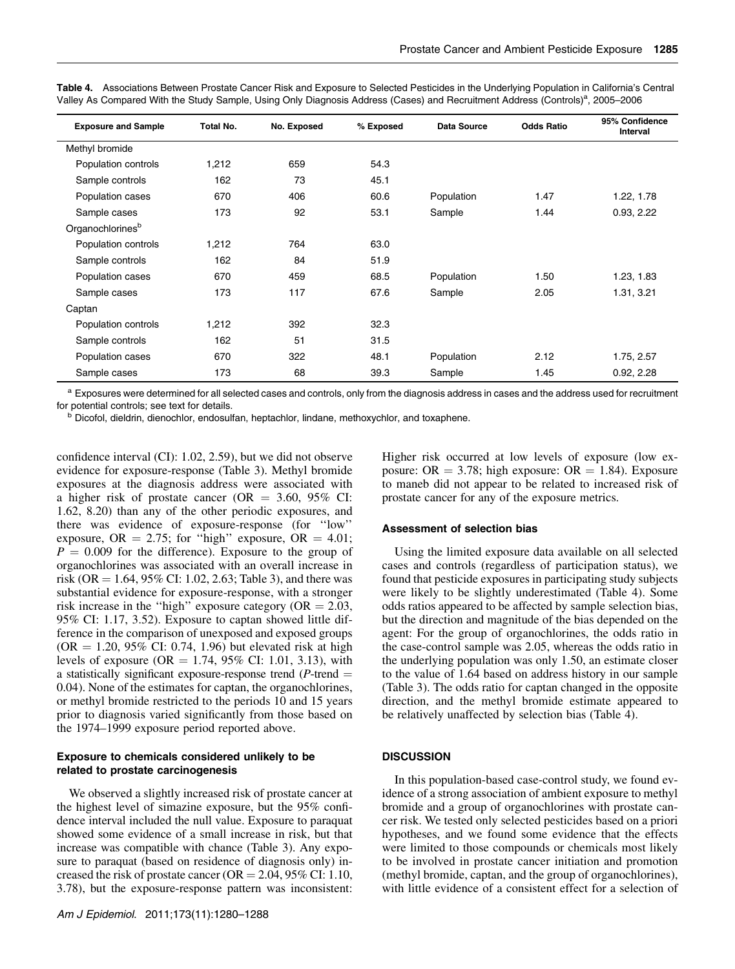| <b>Exposure and Sample</b> | Total No. | No. Exposed | % Exposed | <b>Data Source</b> | <b>Odds Ratio</b> | 95% Confidence<br>Interval |
|----------------------------|-----------|-------------|-----------|--------------------|-------------------|----------------------------|
| Methyl bromide             |           |             |           |                    |                   |                            |
| Population controls        | 1,212     | 659         | 54.3      |                    |                   |                            |
| Sample controls            | 162       | 73          | 45.1      |                    |                   |                            |
| Population cases           | 670       | 406         | 60.6      | Population         | 1.47              | 1.22, 1.78                 |
| Sample cases               | 173       | 92          | 53.1      | Sample             | 1.44              | 0.93, 2.22                 |
| Organochlorinesb           |           |             |           |                    |                   |                            |
| Population controls        | 1,212     | 764         | 63.0      |                    |                   |                            |
| Sample controls            | 162       | 84          | 51.9      |                    |                   |                            |
| Population cases           | 670       | 459         | 68.5      | Population         | 1.50              | 1.23, 1.83                 |
| Sample cases               | 173       | 117         | 67.6      | Sample             | 2.05              | 1.31, 3.21                 |
| Captan                     |           |             |           |                    |                   |                            |
| Population controls        | 1,212     | 392         | 32.3      |                    |                   |                            |
| Sample controls            | 162       | 51          | 31.5      |                    |                   |                            |
| Population cases           | 670       | 322         | 48.1      | Population         | 2.12              | 1.75, 2.57                 |
| Sample cases               | 173       | 68          | 39.3      | Sample             | 1.45              | 0.92, 2.28                 |

Table 4. Associations Between Prostate Cancer Risk and Exposure to Selected Pesticides in the Underlying Population in California's Central Valley As Compared With the Study Sample, Using Only Diagnosis Address (Cases) and Recruitment Address (Controls)<sup>a</sup>, 2005–2006

<sup>a</sup> Exposures were determined for all selected cases and controls, only from the diagnosis address in cases and the address used for recruitment for potential controls; see text for details.

b Dicofol, dieldrin, dienochlor, endosulfan, heptachlor, lindane, methoxychlor, and toxaphene.

confidence interval (CI): 1.02, 2.59), but we did not observe evidence for exposure-response (Table 3). Methyl bromide exposures at the diagnosis address were associated with a higher risk of prostate cancer (OR  $= 3.60, 95\%$  CI: 1.62, 8.20) than any of the other periodic exposures, and there was evidence of exposure-response (for ''low'' exposure, OR  $= 2.75$ ; for "high" exposure, OR  $= 4.01$ ;  $P = 0.009$  for the difference). Exposure to the group of organochlorines was associated with an overall increase in risk (OR = 1.64, 95% CI: 1.02, 2.63; Table 3), and there was substantial evidence for exposure-response, with a stronger risk increase in the "high" exposure category ( $OR = 2.03$ , 95% CI: 1.17, 3.52). Exposure to captan showed little difference in the comparison of unexposed and exposed groups  $(OR = 1.20, 95\% \text{ CI: } 0.74, 1.96)$  but elevated risk at high levels of exposure (OR = 1.74, 95% CI: 1.01, 3.13), with a statistically significant exposure-response trend ( $P$ -trend  $=$ 0.04). None of the estimates for captan, the organochlorines, or methyl bromide restricted to the periods 10 and 15 years prior to diagnosis varied significantly from those based on the 1974–1999 exposure period reported above.

# Exposure to chemicals considered unlikely to be related to prostate carcinogenesis

We observed a slightly increased risk of prostate cancer at the highest level of simazine exposure, but the 95% confidence interval included the null value. Exposure to paraquat showed some evidence of a small increase in risk, but that increase was compatible with chance (Table 3). Any exposure to paraquat (based on residence of diagnosis only) increased the risk of prostate cancer ( $OR = 2.04, 95\%$  CI: 1.10, 3.78), but the exposure-response pattern was inconsistent:

Higher risk occurred at low levels of exposure (low exposure: OR = 3.78; high exposure: OR = 1.84). Exposure to maneb did not appear to be related to increased risk of prostate cancer for any of the exposure metrics.

## Assessment of selection bias

Using the limited exposure data available on all selected cases and controls (regardless of participation status), we found that pesticide exposures in participating study subjects were likely to be slightly underestimated (Table 4). Some odds ratios appeared to be affected by sample selection bias, but the direction and magnitude of the bias depended on the agent: For the group of organochlorines, the odds ratio in the case-control sample was 2.05, whereas the odds ratio in the underlying population was only 1.50, an estimate closer to the value of 1.64 based on address history in our sample (Table 3). The odds ratio for captan changed in the opposite direction, and the methyl bromide estimate appeared to be relatively unaffected by selection bias (Table 4).

#### **DISCUSSION**

In this population-based case-control study, we found evidence of a strong association of ambient exposure to methyl bromide and a group of organochlorines with prostate cancer risk. We tested only selected pesticides based on a priori hypotheses, and we found some evidence that the effects were limited to those compounds or chemicals most likely to be involved in prostate cancer initiation and promotion (methyl bromide, captan, and the group of organochlorines), with little evidence of a consistent effect for a selection of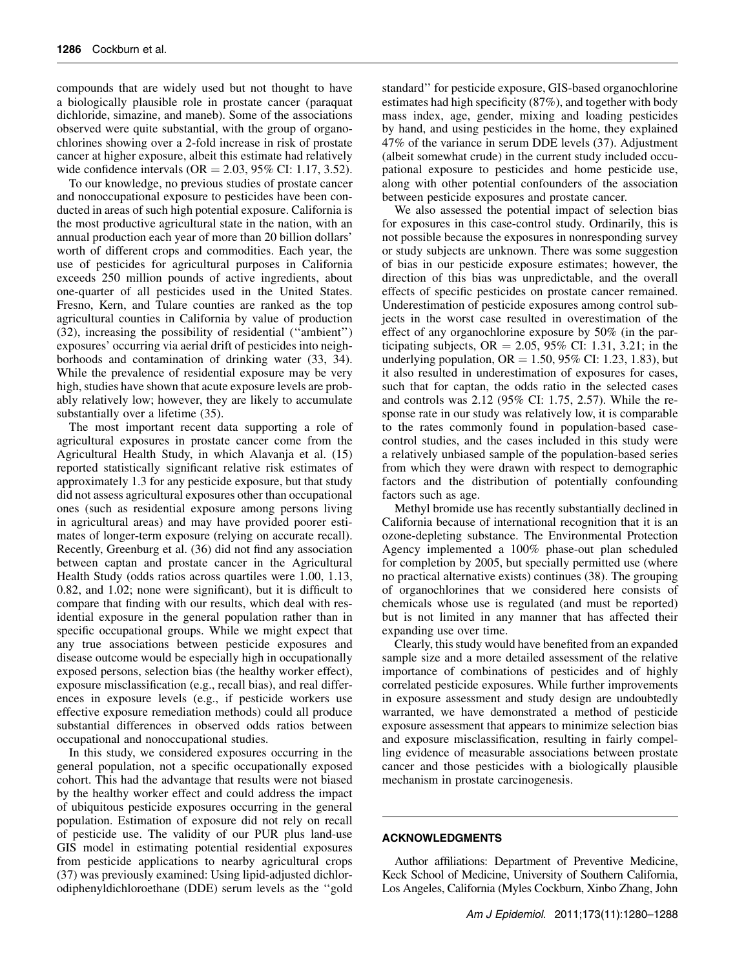compounds that are widely used but not thought to have a biologically plausible role in prostate cancer (paraquat dichloride, simazine, and maneb). Some of the associations observed were quite substantial, with the group of organochlorines showing over a 2-fold increase in risk of prostate cancer at higher exposure, albeit this estimate had relatively wide confidence intervals ( $OR = 2.03$ , 95% CI: 1.17, 3.52).

To our knowledge, no previous studies of prostate cancer and nonoccupational exposure to pesticides have been conducted in areas of such high potential exposure. California is the most productive agricultural state in the nation, with an annual production each year of more than 20 billion dollars' worth of different crops and commodities. Each year, the use of pesticides for agricultural purposes in California exceeds 250 million pounds of active ingredients, about one-quarter of all pesticides used in the United States. Fresno, Kern, and Tulare counties are ranked as the top agricultural counties in California by value of production (32), increasing the possibility of residential (''ambient'') exposures' occurring via aerial drift of pesticides into neighborhoods and contamination of drinking water (33, 34). While the prevalence of residential exposure may be very high, studies have shown that acute exposure levels are probably relatively low; however, they are likely to accumulate substantially over a lifetime (35).

The most important recent data supporting a role of agricultural exposures in prostate cancer come from the Agricultural Health Study, in which Alavanja et al. (15) reported statistically significant relative risk estimates of approximately 1.3 for any pesticide exposure, but that study did not assess agricultural exposures other than occupational ones (such as residential exposure among persons living in agricultural areas) and may have provided poorer estimates of longer-term exposure (relying on accurate recall). Recently, Greenburg et al. (36) did not find any association between captan and prostate cancer in the Agricultural Health Study (odds ratios across quartiles were 1.00, 1.13, 0.82, and 1.02; none were significant), but it is difficult to compare that finding with our results, which deal with residential exposure in the general population rather than in specific occupational groups. While we might expect that any true associations between pesticide exposures and disease outcome would be especially high in occupationally exposed persons, selection bias (the healthy worker effect), exposure misclassification (e.g., recall bias), and real differences in exposure levels (e.g., if pesticide workers use effective exposure remediation methods) could all produce substantial differences in observed odds ratios between occupational and nonoccupational studies.

In this study, we considered exposures occurring in the general population, not a specific occupationally exposed cohort. This had the advantage that results were not biased by the healthy worker effect and could address the impact of ubiquitous pesticide exposures occurring in the general population. Estimation of exposure did not rely on recall of pesticide use. The validity of our PUR plus land-use GIS model in estimating potential residential exposures from pesticide applications to nearby agricultural crops (37) was previously examined: Using lipid-adjusted dichlorodiphenyldichloroethane (DDE) serum levels as the ''gold standard'' for pesticide exposure, GIS-based organochlorine estimates had high specificity (87%), and together with body mass index, age, gender, mixing and loading pesticides by hand, and using pesticides in the home, they explained 47% of the variance in serum DDE levels (37). Adjustment (albeit somewhat crude) in the current study included occupational exposure to pesticides and home pesticide use, along with other potential confounders of the association between pesticide exposures and prostate cancer.

We also assessed the potential impact of selection bias for exposures in this case-control study. Ordinarily, this is not possible because the exposures in nonresponding survey or study subjects are unknown. There was some suggestion of bias in our pesticide exposure estimates; however, the direction of this bias was unpredictable, and the overall effects of specific pesticides on prostate cancer remained. Underestimation of pesticide exposures among control subjects in the worst case resulted in overestimation of the effect of any organochlorine exposure by 50% (in the participating subjects,  $OR = 2.05$ , 95% CI: 1.31, 3.21; in the underlying population,  $OR = 1.50, 95\%$  CI: 1.23, 1.83), but it also resulted in underestimation of exposures for cases, such that for captan, the odds ratio in the selected cases and controls was 2.12 (95% CI: 1.75, 2.57). While the response rate in our study was relatively low, it is comparable to the rates commonly found in population-based casecontrol studies, and the cases included in this study were a relatively unbiased sample of the population-based series from which they were drawn with respect to demographic factors and the distribution of potentially confounding factors such as age.

Methyl bromide use has recently substantially declined in California because of international recognition that it is an ozone-depleting substance. The Environmental Protection Agency implemented a 100% phase-out plan scheduled for completion by 2005, but specially permitted use (where no practical alternative exists) continues (38). The grouping of organochlorines that we considered here consists of chemicals whose use is regulated (and must be reported) but is not limited in any manner that has affected their expanding use over time.

Clearly, this study would have benefited from an expanded sample size and a more detailed assessment of the relative importance of combinations of pesticides and of highly correlated pesticide exposures. While further improvements in exposure assessment and study design are undoubtedly warranted, we have demonstrated a method of pesticide exposure assessment that appears to minimize selection bias and exposure misclassification, resulting in fairly compelling evidence of measurable associations between prostate cancer and those pesticides with a biologically plausible mechanism in prostate carcinogenesis.

## ACKNOWLEDGMENTS

Author affiliations: Department of Preventive Medicine, Keck School of Medicine, University of Southern California, Los Angeles, California (Myles Cockburn, Xinbo Zhang, John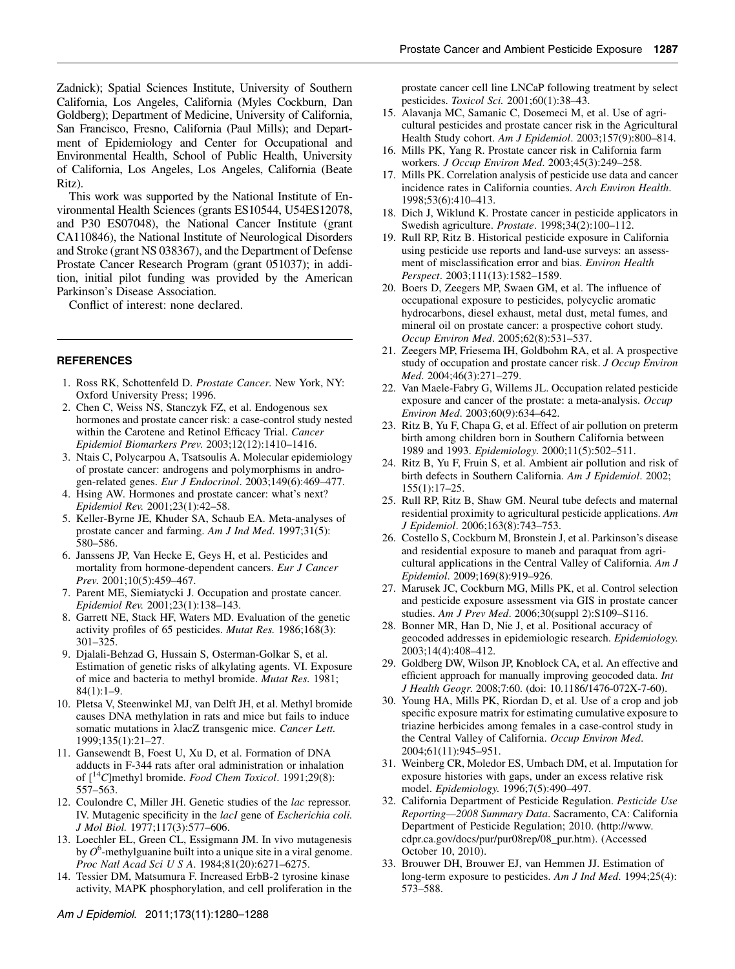Zadnick); Spatial Sciences Institute, University of Southern California, Los Angeles, California (Myles Cockburn, Dan Goldberg); Department of Medicine, University of California, San Francisco, Fresno, California (Paul Mills); and Department of Epidemiology and Center for Occupational and Environmental Health, School of Public Health, University of California, Los Angeles, Los Angeles, California (Beate Ritz).

This work was supported by the National Institute of Environmental Health Sciences (grants ES10544, U54ES12078, and P30 ES07048), the National Cancer Institute (grant CA110846), the National Institute of Neurological Disorders and Stroke (grant NS 038367), and the Department of Defense Prostate Cancer Research Program (grant 051037); in addition, initial pilot funding was provided by the American Parkinson's Disease Association.

Conflict of interest: none declared.

### REFERENCES

- 1. Ross RK, Schottenfeld D. Prostate Cancer. New York, NY: Oxford University Press; 1996.
- 2. Chen C, Weiss NS, Stanczyk FZ, et al. Endogenous sex hormones and prostate cancer risk: a case-control study nested within the Carotene and Retinol Efficacy Trial. Cancer Epidemiol Biomarkers Prev. 2003;12(12):1410–1416.
- 3. Ntais C, Polycarpou A, Tsatsoulis A. Molecular epidemiology of prostate cancer: androgens and polymorphisms in androgen-related genes. Eur J Endocrinol. 2003;149(6):469–477.
- 4. Hsing AW. Hormones and prostate cancer: what's next? Epidemiol Rev. 2001;23(1):42–58.
- 5. Keller-Byrne JE, Khuder SA, Schaub EA. Meta-analyses of prostate cancer and farming. Am J Ind Med. 1997;31(5): 580–586.
- 6. Janssens JP, Van Hecke E, Geys H, et al. Pesticides and mortality from hormone-dependent cancers. Eur J Cancer Prev. 2001;10(5):459-467.
- 7. Parent ME, Siemiatycki J. Occupation and prostate cancer. Epidemiol Rev. 2001;23(1):138–143.
- 8. Garrett NE, Stack HF, Waters MD. Evaluation of the genetic activity profiles of 65 pesticides. Mutat Res. 1986;168(3): 301–325.
- 9. Djalali-Behzad G, Hussain S, Osterman-Golkar S, et al. Estimation of genetic risks of alkylating agents. VI. Exposure of mice and bacteria to methyl bromide. Mutat Res. 1981; 84(1):1–9.
- 10. Pletsa V, Steenwinkel MJ, van Delft JH, et al. Methyl bromide causes DNA methylation in rats and mice but fails to induce somatic mutations in *k*lacZ transgenic mice. Cancer Lett. 1999;135(1):21–27.
- 11. Gansewendt B, Foest U, Xu D, et al. Formation of DNA adducts in F-344 rats after oral administration or inhalation of  $\int_0^{14}$ C methyl bromide. *Food Chem Toxicol.* 1991;29(8): 557–563.
- 12. Coulondre C, Miller JH. Genetic studies of the lac repressor. IV. Mutagenic specificity in the lacI gene of *Escherichia coli*. J Mol Biol. 1977;117(3):577–606.
- 13. Loechler EL, Green CL, Essigmann JM. In vivo mutagenesis by  $O^6$ -methylguanine built into a unique site in a viral genome. Proc Natl Acad Sci U S A. 1984;81(20):6271–6275.
- 14. Tessier DM, Matsumura F. Increased ErbB-2 tyrosine kinase activity, MAPK phosphorylation, and cell proliferation in the

prostate cancer cell line LNCaP following treatment by select pesticides. Toxicol Sci. 2001;60(1):38–43.

- 15. Alavanja MC, Samanic C, Dosemeci M, et al. Use of agricultural pesticides and prostate cancer risk in the Agricultural Health Study cohort. Am J Epidemiol. 2003;157(9):800-814.
- 16. Mills PK, Yang R. Prostate cancer risk in California farm workers. J Occup Environ Med. 2003;45(3):249–258.
- 17. Mills PK. Correlation analysis of pesticide use data and cancer incidence rates in California counties. Arch Environ Health. 1998;53(6):410–413.
- 18. Dich J, Wiklund K. Prostate cancer in pesticide applicators in Swedish agriculture. Prostate. 1998;34(2):100–112.
- 19. Rull RP, Ritz B. Historical pesticide exposure in California using pesticide use reports and land-use surveys: an assessment of misclassification error and bias. Environ Health Perspect. 2003;111(13):1582–1589.
- 20. Boers D, Zeegers MP, Swaen GM, et al. The influence of occupational exposure to pesticides, polycyclic aromatic hydrocarbons, diesel exhaust, metal dust, metal fumes, and mineral oil on prostate cancer: a prospective cohort study. Occup Environ Med. 2005;62(8):531–537.
- 21. Zeegers MP, Friesema IH, Goldbohm RA, et al. A prospective study of occupation and prostate cancer risk. *J Occup Environ* Med. 2004;46(3):271–279.
- 22. Van Maele-Fabry G, Willems JL. Occupation related pesticide exposure and cancer of the prostate: a meta-analysis. Occup Environ Med. 2003;60(9):634–642.
- 23. Ritz B, Yu F, Chapa G, et al. Effect of air pollution on preterm birth among children born in Southern California between 1989 and 1993. Epidemiology. 2000;11(5):502–511.
- 24. Ritz B, Yu F, Fruin S, et al. Ambient air pollution and risk of birth defects in Southern California. Am J Epidemiol. 2002; 155(1):17–25.
- 25. Rull RP, Ritz B, Shaw GM. Neural tube defects and maternal residential proximity to agricultural pesticide applications. Am J Epidemiol. 2006;163(8):743–753.
- 26. Costello S, Cockburn M, Bronstein J, et al. Parkinson's disease and residential exposure to maneb and paraquat from agricultural applications in the Central Valley of California. Am J Epidemiol. 2009;169(8):919–926.
- 27. Marusek JC, Cockburn MG, Mills PK, et al. Control selection and pesticide exposure assessment via GIS in prostate cancer studies. Am J Prev Med. 2006;30(suppl 2):S109-S116.
- 28. Bonner MR, Han D, Nie J, et al. Positional accuracy of geocoded addresses in epidemiologic research. Epidemiology. 2003;14(4):408–412.
- 29. Goldberg DW, Wilson JP, Knoblock CA, et al. An effective and efficient approach for manually improving geocoded data. Int J Health Geogr. 2008;7:60. (doi: 10.1186/1476-072X-7-60).
- 30. Young HA, Mills PK, Riordan D, et al. Use of a crop and job specific exposure matrix for estimating cumulative exposure to triazine herbicides among females in a case-control study in the Central Valley of California. Occup Environ Med. 2004;61(11):945–951.
- 31. Weinberg CR, Moledor ES, Umbach DM, et al. Imputation for exposure histories with gaps, under an excess relative risk model. Epidemiology. 1996;7(5):490–497.
- 32. California Department of Pesticide Regulation. Pesticide Use Reporting—2008 Summary Data. Sacramento, CA: California Department of Pesticide Regulation; 2010. ([http://www.](http://www.cdpr.ca.gov/docs/pur/pur08rep/08_pur.htm) [cdpr.ca.gov/docs/pur/pur08rep/08\\_pur.htm\)](http://www.cdpr.ca.gov/docs/pur/pur08rep/08_pur.htm). (Accessed October 10, 2010).
- 33. Brouwer DH, Brouwer EJ, van Hemmen JJ. Estimation of long-term exposure to pesticides. Am J Ind Med. 1994;25(4): 573–588.